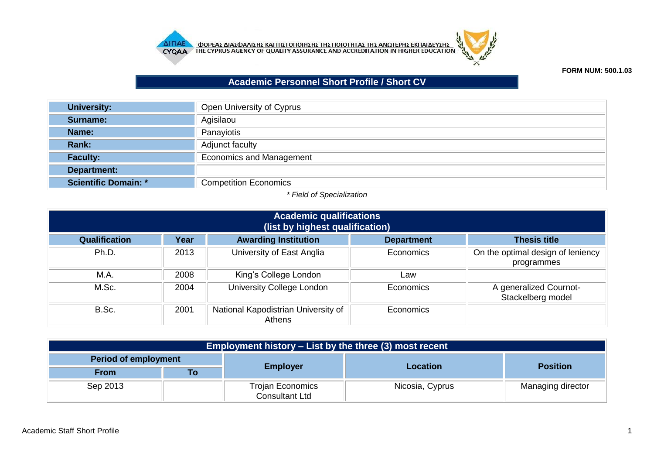



## **FORM NUM: 500.1.03**

## **Academic Personnel Short Profile / Short CV**

| <b>University:</b>          | Open University of Cyprus       |
|-----------------------------|---------------------------------|
| <b>Surname:</b>             | Agisilaou                       |
| Name:                       | Panayiotis                      |
| Rank:                       | Adjunct faculty                 |
| <b>Faculty:</b>             | <b>Economics and Management</b> |
| Department:                 |                                 |
| <b>Scientific Domain: *</b> | <b>Competition Economics</b>    |

## *\* Field of Specialization*

| <b>Academic qualifications</b><br>(list by highest qualification) |      |                                               |                   |                                                 |
|-------------------------------------------------------------------|------|-----------------------------------------------|-------------------|-------------------------------------------------|
| Qualification                                                     | Year | <b>Awarding Institution</b>                   | <b>Department</b> | <b>Thesis title</b>                             |
| Ph.D.                                                             | 2013 | University of East Anglia                     | Economics         | On the optimal design of leniency<br>programmes |
| M.A.                                                              | 2008 | King's College London                         | Law               |                                                 |
| M.Sc.                                                             | 2004 | University College London                     | Economics         | A generalized Cournot-<br>Stackelberg model     |
| B.Sc.                                                             | 2001 | National Kapodistrian University of<br>Athens | Economics         |                                                 |

| Employment history – List by the three (3) most recent |    |                                                  |                 |                   |  |
|--------------------------------------------------------|----|--------------------------------------------------|-----------------|-------------------|--|
| Period of employment                                   |    |                                                  |                 | <b>Position</b>   |  |
| <b>From</b>                                            | Гο | <b>Employer</b>                                  | <b>Location</b> |                   |  |
| Sep 2013                                               |    | <b>Trojan Economics</b><br><b>Consultant Ltd</b> | Nicosia, Cyprus | Managing director |  |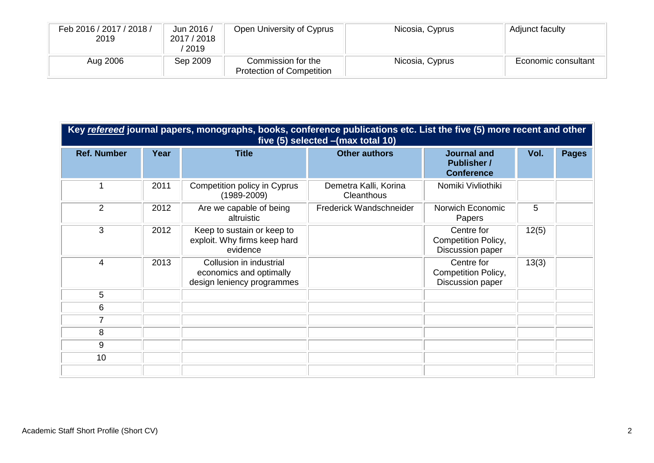| Feb 2016 / 2017 / 2018 /<br>2019 | Jun 2016 /<br>2017 / 2018<br>2019 | Open University of Cyprus                              | Nicosia, Cyprus | Adjunct faculty     |
|----------------------------------|-----------------------------------|--------------------------------------------------------|-----------------|---------------------|
| Aug 2006                         | Sep 2009                          | Commission for the<br><b>Protection of Competition</b> | Nicosia, Cyprus | Economic consultant |

| Key refereed journal papers, monographs, books, conference publications etc. List the five (5) more recent and other<br>five (5) selected - (max total 10) |      |                                                                                  |                                     |                                                               |       |              |
|------------------------------------------------------------------------------------------------------------------------------------------------------------|------|----------------------------------------------------------------------------------|-------------------------------------|---------------------------------------------------------------|-------|--------------|
| <b>Ref. Number</b>                                                                                                                                         | Year | <b>Title</b>                                                                     | <b>Other authors</b>                | <b>Journal and</b><br><b>Publisher /</b><br><b>Conference</b> | Vol.  | <b>Pages</b> |
| 1                                                                                                                                                          | 2011 | Competition policy in Cyprus<br>$(1989 - 2009)$                                  | Demetra Kalli, Korina<br>Cleanthous | Nomiki Vivliothiki                                            |       |              |
| 2                                                                                                                                                          | 2012 | Are we capable of being<br>altruistic                                            | Frederick Wandschneider             | Norwich Economic<br>Papers                                    | 5     |              |
| 3                                                                                                                                                          | 2012 | Keep to sustain or keep to<br>exploit. Why firms keep hard<br>evidence           |                                     | Centre for<br>Competition Policy,<br>Discussion paper         | 12(5) |              |
| 4                                                                                                                                                          | 2013 | Collusion in industrial<br>economics and optimally<br>design leniency programmes |                                     | Centre for<br>Competition Policy,<br>Discussion paper         | 13(3) |              |
| 5                                                                                                                                                          |      |                                                                                  |                                     |                                                               |       |              |
| 6                                                                                                                                                          |      |                                                                                  |                                     |                                                               |       |              |
| $\overline{7}$                                                                                                                                             |      |                                                                                  |                                     |                                                               |       |              |
| 8                                                                                                                                                          |      |                                                                                  |                                     |                                                               |       |              |
| 9                                                                                                                                                          |      |                                                                                  |                                     |                                                               |       |              |
| 10                                                                                                                                                         |      |                                                                                  |                                     |                                                               |       |              |
|                                                                                                                                                            |      |                                                                                  |                                     |                                                               |       |              |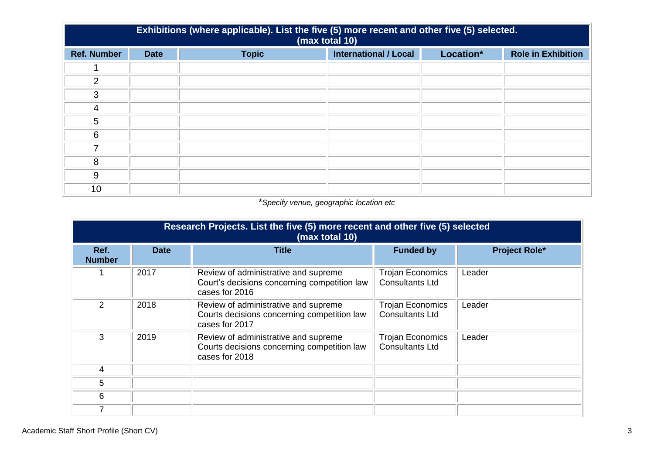|                    | Exhibitions (where applicable). List the five (5) more recent and other five (5) selected.<br>(max total 10) |              |                              |           |                           |  |
|--------------------|--------------------------------------------------------------------------------------------------------------|--------------|------------------------------|-----------|---------------------------|--|
| <b>Ref. Number</b> | <b>Date</b>                                                                                                  | <b>Topic</b> | <b>International / Local</b> | Location* | <b>Role in Exhibition</b> |  |
|                    |                                                                                                              |              |                              |           |                           |  |
| 2                  |                                                                                                              |              |                              |           |                           |  |
| 3                  |                                                                                                              |              |                              |           |                           |  |
| 4                  |                                                                                                              |              |                              |           |                           |  |
| 5                  |                                                                                                              |              |                              |           |                           |  |
| 6                  |                                                                                                              |              |                              |           |                           |  |
|                    |                                                                                                              |              |                              |           |                           |  |
| 8                  |                                                                                                              |              |                              |           |                           |  |
| 9                  |                                                                                                              |              |                              |           |                           |  |
| 10                 |                                                                                                              |              |                              |           |                           |  |

## \**Specify venue, geographic location etc*

| Research Projects. List the five (5) more recent and other five (5) selected<br>(max total 10) |             |                                                                                                        |                                                   |                      |  |  |
|------------------------------------------------------------------------------------------------|-------------|--------------------------------------------------------------------------------------------------------|---------------------------------------------------|----------------------|--|--|
| Ref.<br><b>Number</b>                                                                          | <b>Date</b> | <b>Title</b>                                                                                           | <b>Funded by</b>                                  | <b>Project Role*</b> |  |  |
|                                                                                                | 2017        | Review of administrative and supreme<br>Court's decisions concerning competition law<br>cases for 2016 | <b>Trojan Economics</b><br><b>Consultants Ltd</b> | Leader               |  |  |
| $\overline{2}$                                                                                 | 2018        | Review of administrative and supreme<br>Courts decisions concerning competition law<br>cases for 2017  | <b>Trojan Economics</b><br><b>Consultants Ltd</b> | Leader               |  |  |
| 3                                                                                              | 2019        | Review of administrative and supreme<br>Courts decisions concerning competition law<br>cases for 2018  | <b>Trojan Economics</b><br><b>Consultants Ltd</b> | Leader               |  |  |
| 4                                                                                              |             |                                                                                                        |                                                   |                      |  |  |
| 5                                                                                              |             |                                                                                                        |                                                   |                      |  |  |
| 6                                                                                              |             |                                                                                                        |                                                   |                      |  |  |
|                                                                                                |             |                                                                                                        |                                                   |                      |  |  |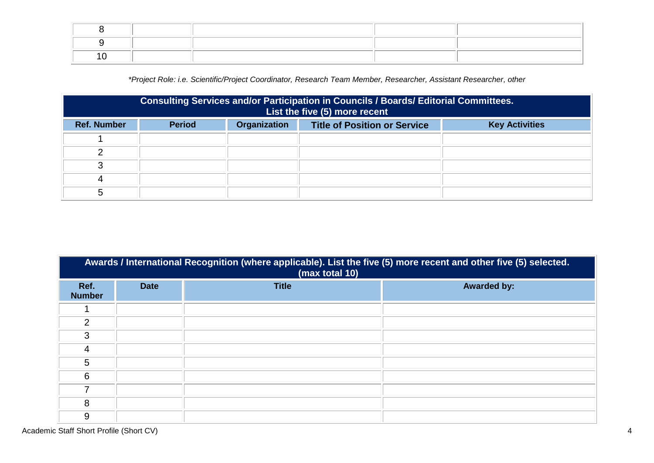*\*Project Role: i.e. Scientific/Project Coordinator, Research Team Member, Researcher, Assistant Researcher, other*

|                    | Consulting Services and/or Participation in Councils / Boards/ Editorial Committees.<br>List the five (5) more recent |                     |                                     |                       |  |
|--------------------|-----------------------------------------------------------------------------------------------------------------------|---------------------|-------------------------------------|-----------------------|--|
| <b>Ref. Number</b> | <b>Period</b>                                                                                                         | <b>Organization</b> | <b>Title of Position or Service</b> | <b>Key Activities</b> |  |
|                    |                                                                                                                       |                     |                                     |                       |  |
|                    |                                                                                                                       |                     |                                     |                       |  |
| ⌒                  |                                                                                                                       |                     |                                     |                       |  |
|                    |                                                                                                                       |                     |                                     |                       |  |
|                    |                                                                                                                       |                     |                                     |                       |  |

|                       | Awards / International Recognition (where applicable). List the five (5) more recent and other five (5) selected.<br>(max total 10) |              |                    |  |  |  |
|-----------------------|-------------------------------------------------------------------------------------------------------------------------------------|--------------|--------------------|--|--|--|
| Ref.<br><b>Number</b> | <b>Date</b>                                                                                                                         | <b>Title</b> | <b>Awarded by:</b> |  |  |  |
|                       |                                                                                                                                     |              |                    |  |  |  |
| $\overline{2}$        |                                                                                                                                     |              |                    |  |  |  |
| 3                     |                                                                                                                                     |              |                    |  |  |  |
| 4                     |                                                                                                                                     |              |                    |  |  |  |
| 5                     |                                                                                                                                     |              |                    |  |  |  |
| 6                     |                                                                                                                                     |              |                    |  |  |  |
| ⇁                     |                                                                                                                                     |              |                    |  |  |  |
| 8                     |                                                                                                                                     |              |                    |  |  |  |
| 9                     |                                                                                                                                     |              |                    |  |  |  |